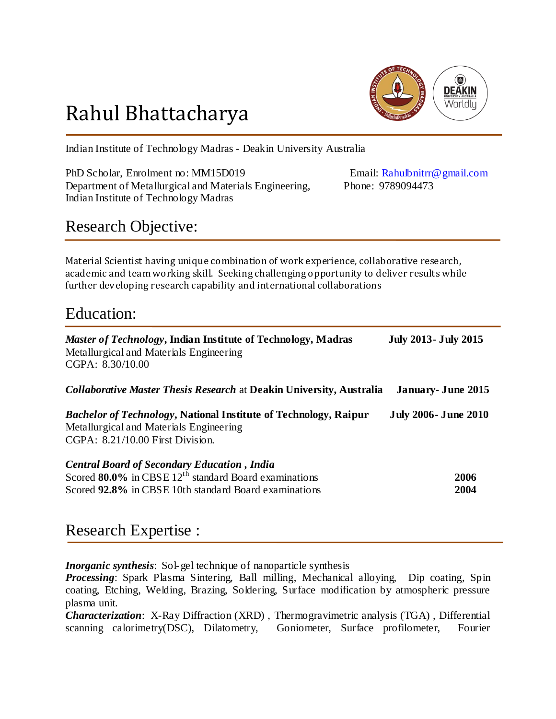

# Rahul Bhattacharya

Indian Institute of Technology Madras - Deakin University Australia

PhD Scholar, Enrolment no: MM15D019 Email: Rahulbnitrr@gmail.com Department of Metallurgical and Materials Engineering, Phone: 9789094473 Indian Institute of Technology Madras

### Research Objective:

Material Scientist having unique combination of work experience, collaborative research, academic and team working skill. Seeking challenging opportunity to deliver results while further developing research capability and international collaborations

### Education:

| <i>Master of Technology</i> , Indian Institute of Technology, Madras<br>Metallurgical and Materials Engineering<br>CGPA: 8.30/10.00                                                 | <b>July 2013- July 2015</b> |
|-------------------------------------------------------------------------------------------------------------------------------------------------------------------------------------|-----------------------------|
| <b>Collaborative Master Thesis Research at Deakin University, Australia</b>                                                                                                         | <b>January</b> - June 2015  |
| <b>Bachelor of Technology, National Institute of Technology, Raipur</b><br>Metallurgical and Materials Engineering<br>$CGPA: 8.21/10.00$ First Division.                            | <b>July 2006- June 2010</b> |
| <b>Central Board of Secondary Education, India</b><br>Scored $80.0\%$ in CBSE 12 <sup>th</sup> standard Board examinations<br>Scored 92.8% in CBSE 10th standard Board examinations | 2006<br>2004                |

### Research Expertise :

*Inorganic synthesis*: Sol-gel technique of nanoparticle synthesis

*Processing*: Spark Plasma Sintering, Ball milling, Mechanical alloying, Dip coating, Spin coating, Etching, Welding, Brazing, Soldering, Surface modification by atmospheric pressure plasma unit.

*Characterization*: X-Ray Diffraction (XRD) , Thermogravimetric analysis (TGA) , Differential scanning calorimetry(DSC), Dilatometry, Goniometer, Surface profilometer, Fourier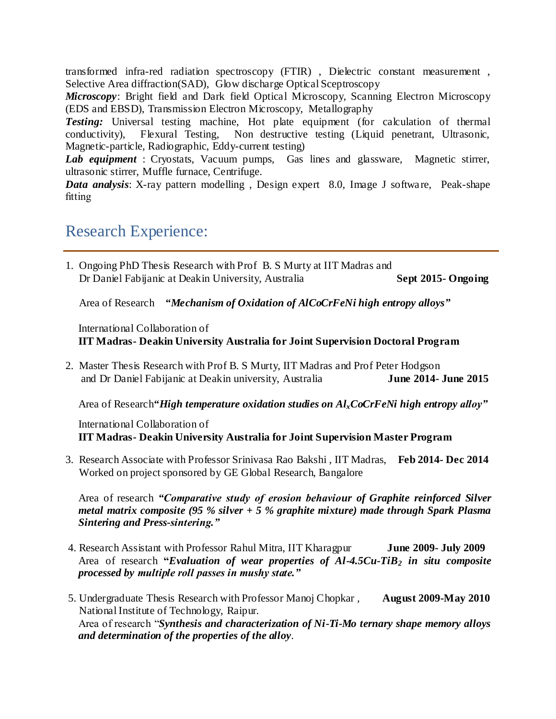transformed infra-red radiation spectroscopy (FTIR) , Dielectric constant measurement , Selective Area diffraction(SAD), Glow discharge Optical Sceptroscopy

*Microscopy*: Bright field and Dark field Optical Microscopy, Scanning Electron Microscopy (EDS and EBSD), Transmission Electron Microscopy, Metallography

**Testing:** Universal testing machine. Hot plate equipment (for calculation of thermal conductivity), Flexural Testing, Non destructive testing (Liquid penetrant, Ultrasonic, Magnetic-particle, Radiographic, Eddy-current testing)

*Lab equipment* : Cryostats, Vacuum pumps, Gas lines and glassware, Magnetic stirrer, ultrasonic stirrer, Muffle furnace, Centrifuge.

*Data analysis*: X-ray pattern modelling , Design expert 8.0, Image J software, Peak-shape fitting

### Research Experience:

1. Ongoing PhD Thesis Research with Prof B. S Murty at IIT Madras and Dr Daniel Fabijanic at Deakin University, Australia **Sept 2015- Ongoing**

Area of Research *"Mechanism of Oxidation of AlCoCrFeNi high entropy alloys"*

International Collaboration of **IIT Madras- Deakin University Australia for Joint Supervision Doctoral Program**

2. Master Thesis Research with Prof B. S Murty, IIT Madras and Prof Peter Hodgson and Dr Daniel Fabijanic at Deakin university, Australia **June 2014- June 2015**

Area of Research*"High temperature oxidation studies on AlxCoCrFeNi high entropy alloy"*

International Collaboration of **IIT Madras- Deakin University Australia for Joint Supervision Master Program**

3. Research Associate with Professor Srinivasa Rao Bakshi , IIT Madras, **Feb 2014- Dec 2014** Worked on project sponsored by GE Global Research, Bangalore

Area of research *"Comparative study of erosion behaviour of Graphite reinforced Silver metal matrix composite (95 % silver + 5 % graphite mixture) made through Spark Plasma Sintering and Press-sintering."*

- 4. Research Assistant with Professor Rahul Mitra, IIT Kharagpur **June 2009- July 2009**  Area of research **"***Evaluation of wear properties of Al-4.5Cu-TiB<sup>2</sup> in situ composite processed by multiple roll passes in mushy state."*
- 5. Undergraduate Thesis Research with Professor Manoj Chopkar *,* **August 2009-May 2010** National Institute of Technology, Raipur. Area of research "*Synthesis and characterization of Ni-Ti-Mo ternary shape memory alloys and determination of the properties of the alloy*.